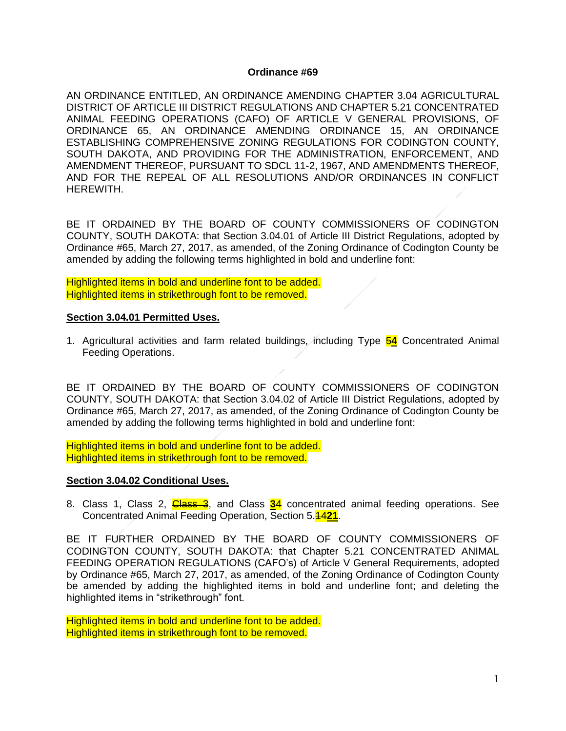#### **Ordinance #69**

AN ORDINANCE ENTITLED, AN ORDINANCE AMENDING CHAPTER 3.04 AGRICULTURAL DISTRICT OF ARTICLE III DISTRICT REGULATIONS AND CHAPTER 5.21 CONCENTRATED ANIMAL FEEDING OPERATIONS (CAFO) OF ARTICLE V GENERAL PROVISIONS, OF ORDINANCE 65, AN ORDINANCE AMENDING ORDINANCE 15, AN ORDINANCE ESTABLISHING COMPREHENSIVE ZONING REGULATIONS FOR CODINGTON COUNTY, SOUTH DAKOTA, AND PROVIDING FOR THE ADMINISTRATION, ENFORCEMENT, AND AMENDMENT THEREOF, PURSUANT TO SDCL 11-2, 1967, AND AMENDMENTS THEREOF, AND FOR THE REPEAL OF ALL RESOLUTIONS AND/OR ORDINANCES IN CONFLICT HEREWITH.

BE IT ORDAINED BY THE BOARD OF COUNTY COMMISSIONERS OF CODINGTON COUNTY, SOUTH DAKOTA: that Section 3.04.01 of Article III District Regulations, adopted by Ordinance #65, March 27, 2017, as amended, of the Zoning Ordinance of Codington County be amended by adding the following terms highlighted in bold and underline font:

Highlighted items in bold and underline font to be added. Highlighted items in strikethrough font to be removed.

#### **Section 3.04.01 Permitted Uses.**

1. Agricultural activities and farm related buildings, including Type 5**4** Concentrated Animal Feeding Operations.

BE IT ORDAINED BY THE BOARD OF COUNTY COMMISSIONERS OF CODINGTON COUNTY, SOUTH DAKOTA: that Section 3.04.02 of Article III District Regulations, adopted by Ordinance #65, March 27, 2017, as amended, of the Zoning Ordinance of Codington County be amended by adding the following terms highlighted in bold and underline font:

Highlighted items in bold and underline font to be added. Highlighted items in strikethrough font to be removed.

#### **Section 3.04.02 Conditional Uses.**

8. Class 1, Class 2, Class 3, and Class **3**4 concentrated animal feeding operations. See Concentrated Animal Feeding Operation, Section 5.14**21**.

BE IT FURTHER ORDAINED BY THE BOARD OF COUNTY COMMISSIONERS OF CODINGTON COUNTY, SOUTH DAKOTA: that Chapter 5.21 CONCENTRATED ANIMAL FEEDING OPERATION REGULATIONS (CAFO's) of Article V General Requirements, adopted by Ordinance #65, March 27, 2017, as amended, of the Zoning Ordinance of Codington County be amended by adding the highlighted items in bold and underline font; and deleting the highlighted items in "strikethrough" font.

Highlighted items in bold and underline font to be added. Highlighted items in strikethrough font to be removed.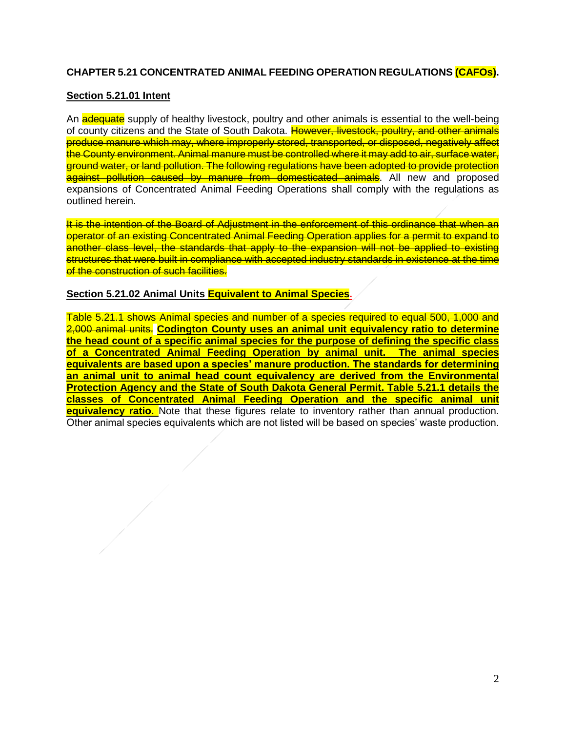# **CHAPTER 5.21 CONCENTRATED ANIMAL FEEDING OPERATION REGULATIONS (CAFOs).**

#### **Section 5.21.01 Intent**

An a **dequate** supply of healthy livestock, poultry and other animals is essential to the well-being of county citizens and the State of South Dakota. However, livestock, poultry, and other animals produce manure which may, where improperly stored, transported, or disposed, negatively affect the County environment. Animal manure must be controlled where it may add to air, surface water, ground water, or land pollution. The following regulations have been adopted to provide protection against pollution caused by manure from domesticated animals. All new and proposed expansions of Concentrated Animal Feeding Operations shall comply with the regulations as outlined herein.

It is the intention of the Board of Adjustment in the enforcement of this ordinance that when an operator of an existing Concentrated Animal Feeding Operation applies for a permit to expand to another class level, the standards that apply to the expansion will not be applied to existing structures that were built in compliance with accepted industry standards in existence at the time of the construction of such facilities.

#### **Section 5.21.02 Animal Units Equivalent to Animal Species.**

Table 5.21.1 shows Animal species and number of a species required to equal 500, 1,000 and 2,000 animal units. **Codington County uses an animal unit equivalency ratio to determine the head count of a specific animal species for the purpose of defining the specific class of a Concentrated Animal Feeding Operation by animal unit. The animal species equivalents are based upon a species' manure production. The standards for determining an animal unit to animal head count equivalency are derived from the Environmental Protection Agency and the State of South Dakota General Permit. Table 5.21.1 details the classes of Concentrated Animal Feeding Operation and the specific animal unit equivalency ratio.** Note that these figures relate to inventory rather than annual production. Other animal species equivalents which are not listed will be based on species' waste production.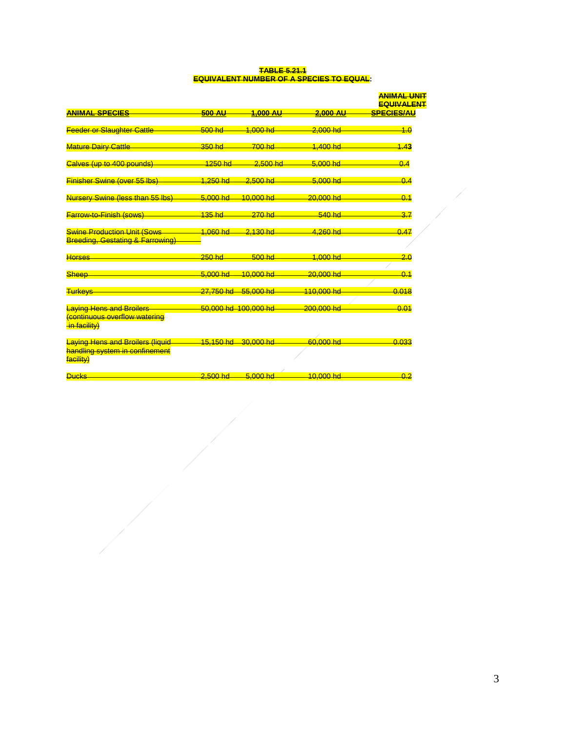#### **TABLE 5.21.1 EQUIVALENT NUMBER OF A SPECIES TO EQUAL:**

|                                                                                   |                        |                      |             | <b>ANIMAL UNIT</b><br><b>EQUIVALENT</b> |
|-----------------------------------------------------------------------------------|------------------------|----------------------|-------------|-----------------------------------------|
| <b>ANIMAL SPECIES</b>                                                             | <b>500 AU</b>          | 1.000 AU             | $2.000$ AU  | <b>SPECIES/AU</b>                       |
| <b>Feeder or Slaughter Cattle</b>                                                 | $500$ hd               | 1.000 hd             | $2,000$ hd  | 4.0                                     |
| <b>Mature Dairy Cattle</b>                                                        | $350$ hd               | $700$ hd             | 1.400 hd    | 1.43                                    |
| Calves (up to 400 pounds)                                                         | $1250$ hd              | $2,500$ hd           | 5.000 hd    | 0.4                                     |
| <b>Finisher Swine (over 55 lbs)</b>                                               | <u>1.250 hd</u>        | $2,500$ hd           | $5.000 h$ d | 0.4                                     |
| Nursery Swine (less than 55 lbs)                                                  | 5.000 hd               | <u>10.000 hd</u>     | 20.000 hd   | 0.1                                     |
| <b>Farrow-to-Finish (sows)</b>                                                    | 135 hd                 | $270$ hd             | 540 hd      | 3.7                                     |
| <b>Swine Production Unit (Sows</b><br><b>Breeding, Gestating &amp; Farrowing)</b> | 1.060 hd               | $2.130$ hd           | 4.260 hd    | 0.47                                    |
| <b>Horses</b>                                                                     | $250$ hd               | $500$ hd             | 1.000 hd    | 2.0                                     |
| Sheep                                                                             | 5.000 hd               | 10.000 hd            | 20,000 hd   | 0.1                                     |
| <b>Turkeys</b>                                                                    | <mark>27.750 hd</mark> | 55,000 hd            | 110,000 hd  | 0.018                                   |
| <b>Laying Hens and Broilers</b><br>continuous overflow watering<br>in facility)   |                        | 50,000 hd 100,000 hd | 200,000 hd  | 0.01                                    |
| <b>Laying Hens and Broilers (liquid</b>                                           | 15.150 hd              | 30.000 hd            | 60.000 hd   | 0.033                                   |
| handling system in confinement<br>facility)                                       |                        |                      |             |                                         |
| <b>Ducks</b>                                                                      | $2.500$ hd             | $5.000 h$ d          | $10.000$ hd | 0.2                                     |

 $\frac{1}{\sqrt{2\pi}}\int d^3x\sqrt{2\pi}dx\sqrt{2\pi}dx\sqrt{2\pi}dx\sqrt{2\pi}dx\sqrt{2\pi}dx\sqrt{2\pi}dx\sqrt{2\pi}dx\sqrt{2\pi}dx\sqrt{2\pi}dx\sqrt{2\pi}dx\sqrt{2\pi}dx\sqrt{2\pi}dx\sqrt{2\pi}dx\sqrt{2\pi}dx\sqrt{2\pi}dx\sqrt{2\pi}dx\sqrt{2\pi}dx\sqrt{2\pi}dx\sqrt{2\pi}dx\sqrt{2\pi}dx\sqrt{2\pi}dx\sqrt{2\pi}dx\sqrt{2\pi}dx\sqrt{2\pi}dx\sqrt{2\pi}dx\sqrt$ 

- A

 $\overline{\mathcal{L}}$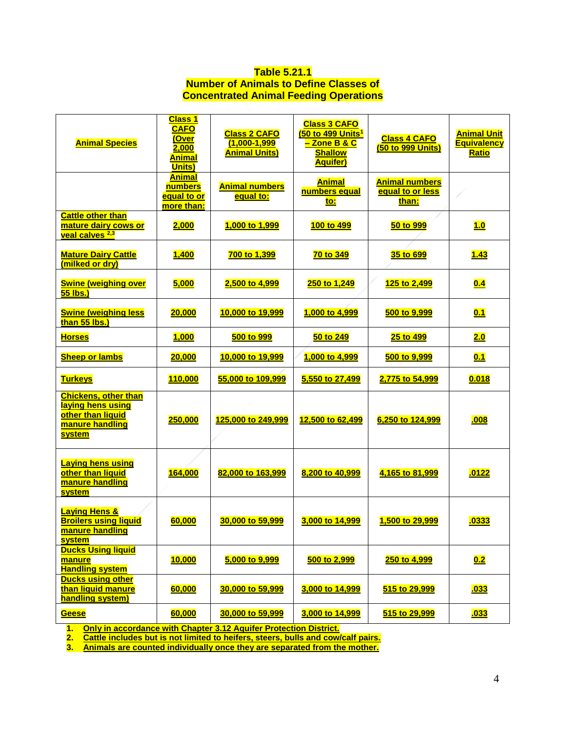## **Table 5.21.1 Number of Animals to Define Classes of Concentrated Animal Feeding Operations**

| <b>Animal Species</b>                                                                                     | <b>Class 1</b><br><b>CAFO</b><br>(Over<br>2,000<br><b>Animal</b><br>Units) | <b>Class 2 CAFO</b><br>$(1,000 - 1,999)$<br><b>Animal Units)</b> | <b>Class 3 CAFO</b><br>(50 to 499 Units <sup>1</sup><br><mark>- Zone B &amp; C</mark><br><b>Shallow</b><br><b>Aquifer)</b> | <b>Class 4 CAFO</b><br>(50 to 999 Units)           | <b>Animal Unit</b><br><b>Equivalency</b><br><u>Ratio</u> |
|-----------------------------------------------------------------------------------------------------------|----------------------------------------------------------------------------|------------------------------------------------------------------|----------------------------------------------------------------------------------------------------------------------------|----------------------------------------------------|----------------------------------------------------------|
|                                                                                                           | <b>Animal</b><br>numbers<br><u>equal to or</u><br>more than:               | <b>Animal numbers</b><br>equal to:                               | <b>Animal</b><br>numbers equal<br>to:                                                                                      | <b>Animal numbers</b><br>equal to or less<br>than: |                                                          |
| <b>Cattle other than</b><br>mature dairy cows or<br>veal calves <sup>2,3</sup>                            | 2,000                                                                      | 1,000 to 1,999                                                   | 100 to 499                                                                                                                 | 50 to 999                                          | 1.0                                                      |
| <b>Mature Dairy Cattle</b><br>(milked or dry)                                                             | <b>1,400</b>                                                               | 700 to 1,399                                                     | 70 to 349                                                                                                                  | <u>35 to 699</u>                                   | <u>1.43</u>                                              |
| <b>Swine (weighing over</b><br>55 lbs.)                                                                   | 5,000                                                                      | 2,500 to 4,999                                                   | 250 to 1,249                                                                                                               | 125 to 2,499                                       | 0.4                                                      |
| <b>Swine (weighing less</b><br>than 55 lbs.)                                                              | 20,000                                                                     | 10,000 to 19,999                                                 | 1,000 to 4,999                                                                                                             | 500 to 9,999                                       | 0.1                                                      |
| <b>Horses</b>                                                                                             | 1,000                                                                      | 500 to 999                                                       | 50 to 249                                                                                                                  | 25 to 499                                          | 2.0                                                      |
| <b>Sheep or lambs</b>                                                                                     | 20,000                                                                     | 10,000 to 19,999                                                 | 1,000 to 4,999                                                                                                             | 500 to 9,999                                       | 0.1                                                      |
| <b>Turkeys</b>                                                                                            | 110,000                                                                    | 55,000 to 109,999                                                | 5,550 to 27,499                                                                                                            | 2,775 to 54,999                                    | 0.018                                                    |
| <b>Chickens, other than</b><br>laying hens using<br>other than liquid<br>manure handling<br><b>system</b> | 250,000                                                                    | 125,000 to 249,999                                               | 12,500 to 62,499                                                                                                           | 6,250 to 124,999                                   | .008                                                     |
| <b>Laying hens using</b><br>other than liquid<br>manure handling<br><b>system</b>                         | 164,000                                                                    | 82,000 to 163,999                                                | 8,200 to 40,999                                                                                                            | 4,165 to 81,999                                    | .0122                                                    |
| <b>Laying Hens &amp;</b><br><b>Broilers using liquid</b><br>manure handling<br><b>system</b>              | 60,000                                                                     | 30,000 to 59,999                                                 | 3,000 to 14,999                                                                                                            | 1,500 to 29,999                                    | .0333                                                    |
| <b>Ducks Using liquid</b><br>manure<br><b>Handling system</b>                                             | <b>10,000</b>                                                              | 5,000 to 9,999                                                   | 500 to 2,999                                                                                                               | 250 to 4,999                                       | 0.2                                                      |
| <b>Ducks using other</b><br>than liquid manure<br>handling system)                                        | 60,000                                                                     | 30,000 to 59,999                                                 | 3,000 to 14,999                                                                                                            | 515 to 29,999                                      | <u>.033</u>                                              |
| Geese                                                                                                     | 60,000                                                                     | 30,000 to 59,999                                                 | 3,000 to 14,999                                                                                                            | 515 to 29,999                                      | <u>.033</u>                                              |

**1. Only in accordance with Chapter 3.12 Aquifer Protection District.**

**2. Cattle includes but is not limited to heifers, steers, bulls and cow/calf pairs.**

**3. Animals are counted individually once they are separated from the mother.**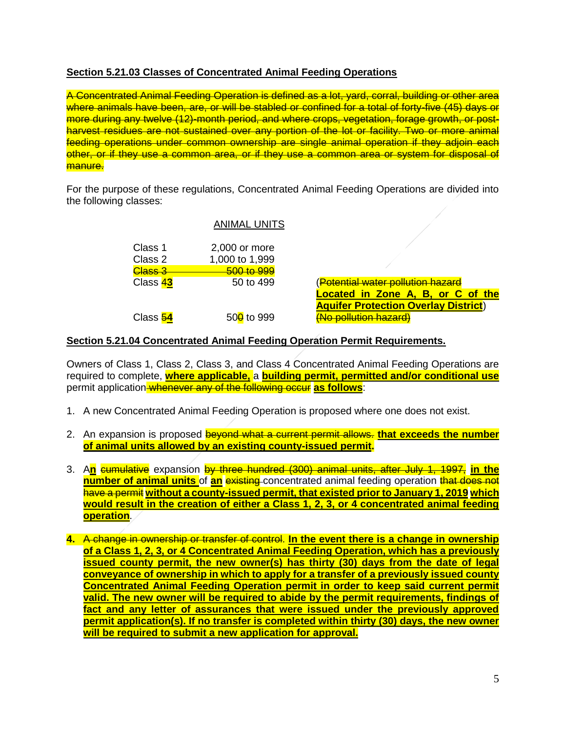# **Section 5.21.03 Classes of Concentrated Animal Feeding Operations**

A Concentrated Animal Feeding Operation is defined as a lot, yard, corral, building or other area where animals have been, are, or will be stabled or confined for a total of forty-five (45) days or more during any twelve (12)-month period, and where crops, vegetation, forage growth, or postharvest residues are not sustained over any portion of the lot or facility. Two or more animal feeding operations under common ownership are single animal operation if they adjoin each other, or if they use a common area, or if they use a common area or system for disposal of manure.

For the purpose of these regulations, Concentrated Animal Feeding Operations are divided into the following classes:

## ANIMAL UNITS

| Class 1            | 2,000 or more          |
|--------------------|------------------------|
| Class 2            | 1,000 to 1,999         |
| <del>Class 3</del> | 500 to 999             |
| Class 43           | 50 to 499              |
|                    |                        |
|                    |                        |
| Class 54           | 50 <sup>0</sup> to 999 |

(<del>Potential water pollution hazard</del> **Located in Zone A, B, or C of the Aquifer Protection Overlay District**) **(No pollution hazard)** 

## **Section 5.21.04 Concentrated Animal Feeding Operation Permit Requirements.**

Owners of Class 1, Class 2, Class 3, and Class 4 Concentrated Animal Feeding Operations are required to complete, **where applicable,** a **building permit, permitted and/or conditional use** permit application whenever any of the following occur **as follows**:

- 1. A new Concentrated Animal Feeding Operation is proposed where one does not exist.
- 2. An expansion is proposed beyond what a current permit allows. **that exceeds the number of animal units allowed by an existing county-issued permit.**
- 3. A**n** cumulative expansion by three hundred (300) animal units, after July 1, 1997, **in the number of animal units** of **an** existing concentrated animal feeding operation that does not have a permit **without a county-issued permit, that existed prior to January 1, 2019 which would result in the creation of either a Class 1, 2, 3, or 4 concentrated animal feeding operation**.
- **4.** A change in ownership or transfer of control. **In the event there is a change in ownership of a Class 1, 2, 3, or 4 Concentrated Animal Feeding Operation, which has a previously issued county permit, the new owner(s) has thirty (30) days from the date of legal conveyance of ownership in which to apply for a transfer of a previously issued county Concentrated Animal Feeding Operation permit in order to keep said current permit valid. The new owner will be required to abide by the permit requirements, findings of fact and any letter of assurances that were issued under the previously approved permit application(s). If no transfer is completed within thirty (30) days, the new owner will be required to submit a new application for approval.**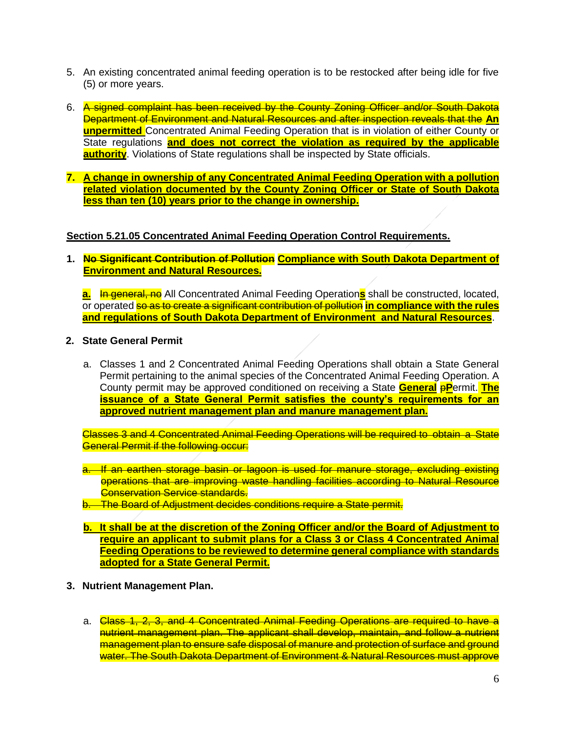- 5. An existing concentrated animal feeding operation is to be restocked after being idle for five (5) or more years.
- 6. A signed complaint has been received by the County Zoning Officer and/or South Dakota Department of Environment and Natural Resources and after inspection reveals that the **An unpermitted** Concentrated Animal Feeding Operation that is in violation of either County or State regulations **and does not correct the violation as required by the applicable authority**. Violations of State regulations shall be inspected by State officials.
- **7. A change in ownership of any Concentrated Animal Feeding Operation with a pollution related violation documented by the County Zoning Officer or State of South Dakota less than ten (10) years prior to the change in ownership.**

## **Section 5.21.05 Concentrated Animal Feeding Operation Control Requirements.**

**1. No Significant Contribution of Pollution Compliance with South Dakota Department of Environment and Natural Resources.**

**a.** In general, no All Concentrated Animal Feeding Operations shall be constructed, located, or operated so as to create a significant contribution of pollution **in compliance with the rules and regulations of South Dakota Department of Environment and Natural Resources**.

- **2. State General Permit**
	- a. Classes 1 and 2 Concentrated Animal Feeding Operations shall obtain a State General Permit pertaining to the animal species of the Concentrated Animal Feeding Operation. A County permit may be approved conditioned on receiving a State **General** p**P**ermit. **The issuance of a State General Permit satisfies the county's requirements for an approved nutrient management plan and manure management plan.**

Classes 3 and 4 Concentrated Animal Feeding Operations will be required to obtain a State General Permit if the following occur:

- a. If an earthen storage basin or lagoon is used for manure storage, excluding existing operations that are improving waste handling facilities according to Natural Resource **Conservation Service standards.**
- b. The Board of Adjustment decides conditions require a State permit.
- **b. It shall be at the discretion of the Zoning Officer and/or the Board of Adjustment to require an applicant to submit plans for a Class 3 or Class 4 Concentrated Animal Feeding Operations to be reviewed to determine general compliance with standards adopted for a State General Permit.**
- **3. Nutrient Management Plan.**
	- a. Class 1, 2, 3, and 4 Concentrated Animal Feeding Operations are required to have a nutrient management plan. The applicant shall develop, maintain, and follow a nutrient management plan to ensure safe disposal of manure and protection of surface and ground water. The South Dakota Department of Environment & Natural Resources must approve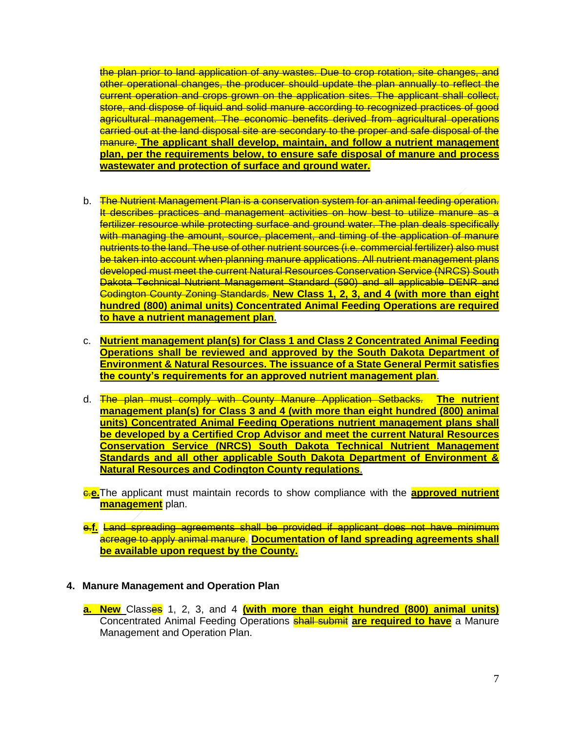the plan prior to land application of any wastes. Due to crop rotation, site changes, and other operational changes, the producer should update the plan annually to reflect the current operation and crops grown on the application sites. The applicant shall collect, store, and dispose of liquid and solid manure according to recognized practices of good agricultural management. The economic benefits derived from agricultural operations carried out at the land disposal site are secondary to the proper and safe disposal of the manure. **The applicant shall develop, maintain, and follow a nutrient management plan, per the requirements below, to ensure safe disposal of manure and process wastewater and protection of surface and ground water.**

- b. The Nutrient Management Plan is a conservation system for an animal feeding operation. It describes practices and management activities on how best to utilize manure as a fertilizer resource while protecting surface and ground water. The plan deals specifically with managing the amount, source, placement, and timing of the application of manure nutrients to the land. The use of other nutrient sources (i.e. commercial fertilizer) also must be taken into account when planning manure applications. All nutrient management plans developed must meet the current Natural Resources Conservation Service (NRCS) South Dakota Technical Nutrient Management Standard (590) and all applicable DENR and Codington County Zoning Standards. **New Class 1, 2, 3, and 4 (with more than eight hundred (800) animal units) Concentrated Animal Feeding Operations are required to have a nutrient management plan**.
- c. **Nutrient management plan(s) for Class 1 and Class 2 Concentrated Animal Feeding Operations shall be reviewed and approved by the South Dakota Department of Environment & Natural Resources. The issuance of a State General Permit satisfies the county's requirements for an approved nutrient management plan**.
- d. The plan must comply with County Manure Application Setbacks. **The nutrient management plan(s) for Class 3 and 4 (with more than eight hundred (800) animal units) Concentrated Animal Feeding Operations nutrient management plans shall be developed by a Certified Crop Advisor and meet the current Natural Resources Conservation Service (NRCS) South Dakota Technical Nutrient Management Standards and all other applicable South Dakota Department of Environment & Natural Resources and Codington County regulations**.
- c.**e.**The applicant must maintain records to show compliance with the **approved nutrient management** plan.
- e.**f.** Land spreading agreements shall be provided if applicant does not have minimum acreage to apply animal manure. **Documentation of land spreading agreements shall be available upon request by the County.**

## **4. Manure Management and Operation Plan**

**a. New** Classes 1, 2, 3, and 4 **(with more than eight hundred (800) animal units)**  Concentrated Animal Feeding Operations shall submit **are required to have** a Manure Management and Operation Plan.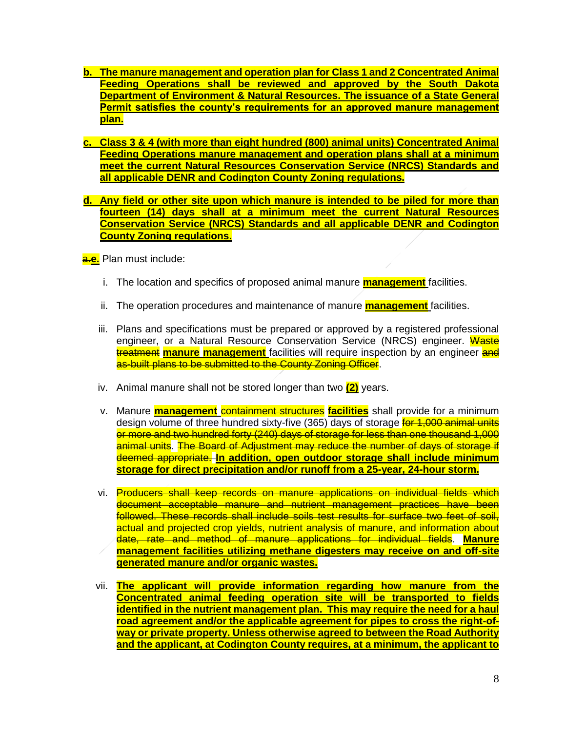- **b. The manure management and operation plan for Class 1 and 2 Concentrated Animal Feeding Operations shall be reviewed and approved by the South Dakota Department of Environment & Natural Resources. The issuance of a State General Permit satisfies the county's requirements for an approved manure management plan.**
- **c. Class 3 & 4 (with more than eight hundred (800) animal units) Concentrated Animal Feeding Operations manure management and operation plans shall at a minimum meet the current Natural Resources Conservation Service (NRCS) Standards and all applicable DENR and Codington County Zoning regulations.**
- **d. Any field or other site upon which manure is intended to be piled for more than fourteen (14) days shall at a minimum meet the current Natural Resources Conservation Service (NRCS) Standards and all applicable DENR and Codington County Zoning regulations.**

a.**e.** Plan must include:

- i. The location and specifics of proposed animal manure **management** facilities.
- ii. The operation procedures and maintenance of manure **management** facilities.
- iii. Plans and specifications must be prepared or approved by a registered professional engineer, or a Natural Resource Conservation Service (NRCS) engineer. Waste treatment **manure management** facilities will require inspection by an engineer and as-built plans to be submitted to the County Zoning Officer.
- iv. Animal manure shall not be stored longer than two **(2)** years.
- v. Manure **management** containment structures facilities shall provide for a minimum design volume of three hundred sixty-five (365) days of storage for 1,000 animal units or more and two hundred forty (240) days of storage for less than one thousand 1,000 animal units. The Board of Adjustment may reduce the number of days of storage if deemed appropriate. **In addition, open outdoor storage shall include minimum storage for direct precipitation and/or runoff from a 25-year, 24-hour storm.**
- vi. Producers shall keep records on manure applications on individual fields which document acceptable manure and nutrient management practices have been followed. These records shall include soils test results for surface two feet of soil, actual and projected crop yields, nutrient analysis of manure, and information about date, rate and method of manure applications for individual fields. **Manure management facilities utilizing methane digesters may receive on and off-site generated manure and/or organic wastes.**
- vii. **The applicant will provide information regarding how manure from the Concentrated animal feeding operation site will be transported to fields identified in the nutrient management plan. This may require the need for a haul road agreement and/or the applicable agreement for pipes to cross the right-ofway or private property. Unless otherwise agreed to between the Road Authority and the applicant, at Codington County requires, at a minimum, the applicant to**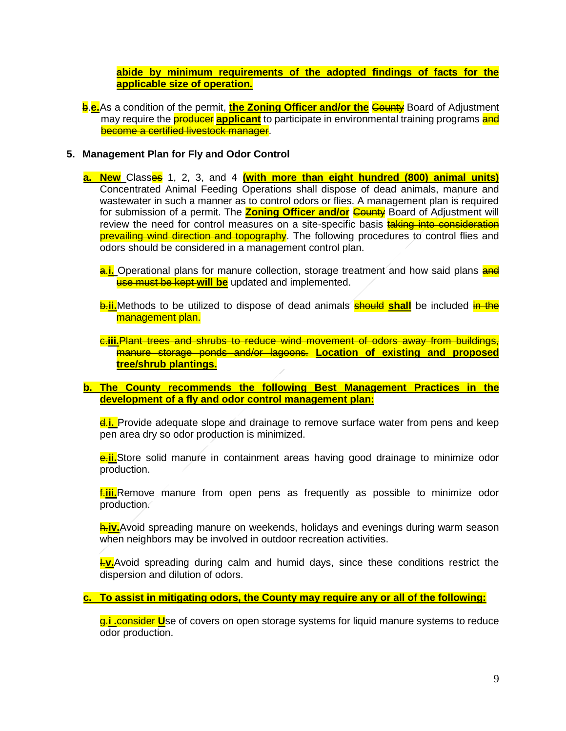**abide by minimum requirements of the adopted findings of facts for the applicable size of operation.**

**b.e.**As a condition of the permit, **the Zoning Officer and/or the County** Board of Adjustment may require the **producer applicant** to participate in environmental training programs and become a certified livestock manager.

#### **5. Management Plan for Fly and Odor Control**

**a. New** Classes 1, 2, 3, and 4 **(with more than eight hundred (800) animal units)**  Concentrated Animal Feeding Operations shall dispose of dead animals, manure and wastewater in such a manner as to control odors or flies. A management plan is required for submission of a permit. The **Zoning Officer and/or** County Board of Adjustment will review the need for control measures on a site-specific basis **taking into consideration prevailing wind direction and topography**. The following procedures to control flies and odors should be considered in a management control plan.

a.**i.** Operational plans for manure collection, storage treatment and how said plans and use must be kept **will be** updated and implemented.

**b.ii.**Methods to be utilized to dispose of dead animals **should shall** be included in the management plan.

c.**iii.**Plant trees and shrubs to reduce wind movement of odors away from buildings, manure storage ponds and/or lagoons. **Location of existing and proposed tree/shrub plantings.** 

#### **b. The County recommends the following Best Management Practices in the development of a fly and odor control management plan:**

d.**i.** Provide adequate slope and drainage to remove surface water from pens and keep pen area dry so odor production is minimized.

e.**ii.**Store solid manure in containment areas having good drainage to minimize odor production.

f.**iii.**Remove manure from open pens as frequently as possible to minimize odor production.

h.**iv.**Avoid spreading manure on weekends, holidays and evenings during warm season when neighbors may be involved in outdoor recreation activities.

**I.v.**Avoid spreading during calm and humid days, since these conditions restrict the dispersion and dilution of odors.

**c. To assist in mitigating odors, the County may require any or all of the following:**

g.**i .**consider **U**se of covers on open storage systems for liquid manure systems to reduce odor production.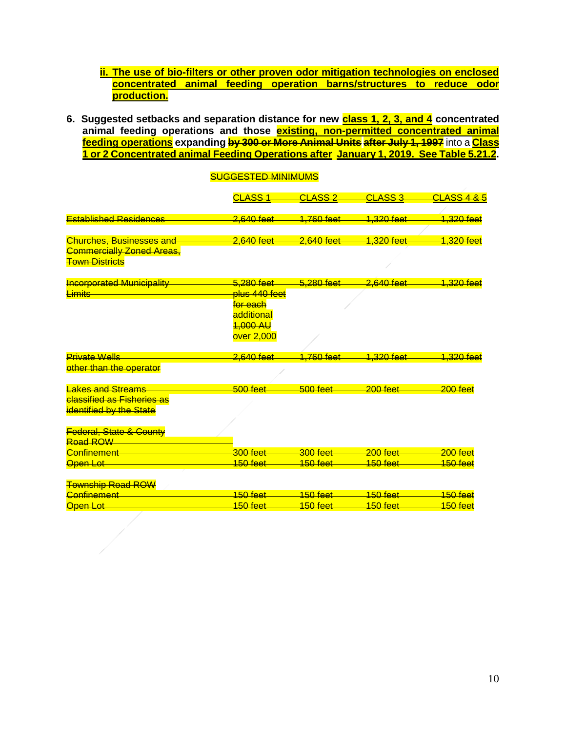- **ii. The use of bio-filters or other proven odor mitigation technologies on enclosed concentrated animal feeding operation barns/structures to reduce odor production.**
- 6. Suggested setbacks and separation distance for new **class 1, 2, 3, and 4** concentrated **animal feeding operations and those existing, non-permitted concentrated animal feeding operations expanding by 300 or More Animal Units after July 1, 1997** into a **Class 1 or 2 Concentrated animal Feeding Operations after January 1, 2019. See Table 5.21.2.**

|                                    | <del>CLASS 1</del>         | <del>CLASS 2</del>      | <del>CLASS 3</del>    | <del>CLASS 4</del>    |
|------------------------------------|----------------------------|-------------------------|-----------------------|-----------------------|
|                                    |                            |                         |                       |                       |
| <b>Established Residences</b>      | 2.640 feet                 | <u>1.760 feet</u>       | <del>1,320 feet</del> | <del>1,320 feet</del> |
|                                    |                            |                         |                       |                       |
| <b>Churches, Businesses and</b>    | 2,640 feet                 | <del>2,640 feet</del>   | 1,320 feet            | <del>1,320 feet</del> |
| <b>Commercially Zoned Areas,</b>   |                            |                         |                       |                       |
| <b>Town Districts</b>              |                            |                         |                       |                       |
| <b>Incorporated Municipality</b>   | 5.280 feet                 | 5.280 feet              | <del>2,640 feet</del> | <del>1,320 feet</del> |
| <b>Limits</b>                      | <mark>plus 440 feet</mark> |                         |                       |                       |
|                                    | <del>for each</del>        |                         |                       |                       |
|                                    | additional                 |                         |                       |                       |
|                                    | <del>1,000 AU</del>        |                         |                       |                       |
|                                    | <b>over 2,000</b>          |                         |                       |                       |
|                                    |                            |                         |                       |                       |
| <b>Private Wells</b>               | 2,640 feet                 | <mark>1,760 feet</mark> | <u>1.320 feet</u>     | <u>1.320 feet</u>     |
| other than the operator            |                            |                         |                       |                       |
|                                    |                            |                         |                       |                       |
| <b>Lakes and Streams</b>           | $500$ feet                 | $500$ feet              | $200$ feet            | $200$ feet            |
| <b>classified as Fisheries as</b>  |                            |                         |                       |                       |
| <b>identified by the State</b>     |                            |                         |                       |                       |
|                                    |                            |                         |                       |                       |
| <b>Federal, State &amp; County</b> |                            |                         |                       |                       |
| Road ROW                           |                            |                         |                       |                       |
| Confinement                        | $300$ feet                 | $300$ feet              | $200$ feet            | $200$ feet            |
| <b>Open Lot</b>                    | <u> 150 feet</u>           | <u> 150 feet</u>        | <u> 150 feet</u>      | <u> 150 feet</u>      |
|                                    |                            |                         |                       |                       |
| <b>Township Road ROW</b>           |                            |                         |                       |                       |
| Confinement                        | $150$ feet                 | $150$ feet              | 150 feet              | $150$ feet            |
| <b>Open Lot</b>                    | <u>150 feet</u>            | <del>150 feet</del>     | <del>150 feet</del>   | <del>150 feet</del>   |
|                                    |                            |                         |                       |                       |

#### SUGGESTED MINIMUMS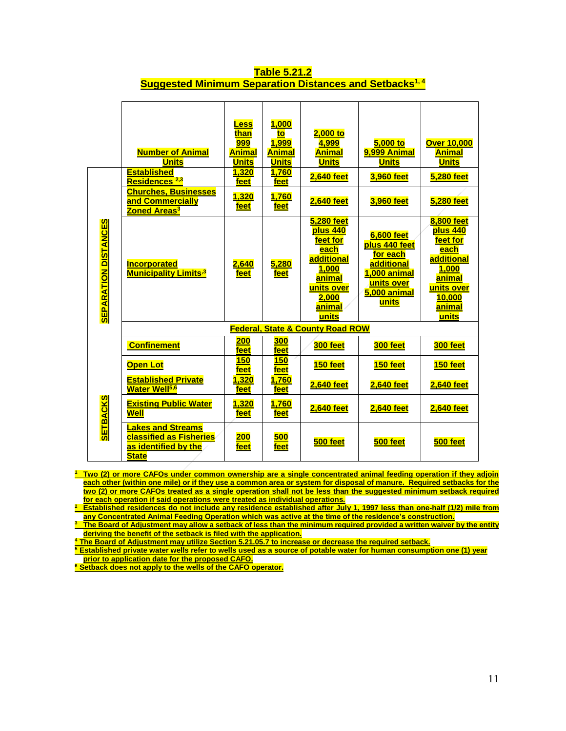|                                             | <b>Number of Animal</b><br><b>Units</b><br><b>Established</b><br>Residences <sup>2,3</sup>         | <b>Less</b><br>than<br><b>999</b><br><b>Animal</b><br><b>Units</b><br>1,320<br>feet | 1,000<br>to<br>1,999<br><b>Animal</b><br><b>Units</b><br>1,760<br>feet | $2,000$ to<br>4,999<br><b>Animal</b><br><b>Units</b><br><b>2,640 feet</b>                                                           | 5,000 to<br>9,999 Animal<br><b>Units</b><br>3,960 feet                                                                     | <b>Over 10,000</b><br><u>Animal</u><br><b>Units</b><br>5,280 feet                                                                           |
|---------------------------------------------|----------------------------------------------------------------------------------------------------|-------------------------------------------------------------------------------------|------------------------------------------------------------------------|-------------------------------------------------------------------------------------------------------------------------------------|----------------------------------------------------------------------------------------------------------------------------|---------------------------------------------------------------------------------------------------------------------------------------------|
|                                             | <b>Churches, Businesses</b><br>and Commercially<br>Zoned Areas <sup>3</sup>                        | <u>1,320</u><br><u>feet</u>                                                         | 1,760<br>feet                                                          | 2,640 feet                                                                                                                          | 3,960 feet                                                                                                                 | 5,280 feet                                                                                                                                  |
| <b>SEPARATION DISTANCES</b>                 | <b>Incorporated</b><br><b>Municipality Limits<sup>3</sup></b>                                      | <u>2,640</u><br>feet                                                                | 5,280<br>feet                                                          | <b>5,280 feet</b><br>plus 440<br>feet for<br><u>each</u><br>additional<br>1,000<br>animal<br>units over<br>2,000<br>animal<br>units | <b>6.600 feet</b><br>plus 440 feet<br>for each<br>additional<br>1,000 animal<br>units over<br><b>5,000 animal</b><br>units | <b>8,800 feet</b><br>plus 440<br>feet for<br><u>each</u><br>additional<br>1,000<br>animal<br>units over<br>10,000<br><u>animal</u><br>units |
| <b>Federal, State &amp; County Road ROW</b> |                                                                                                    |                                                                                     |                                                                        |                                                                                                                                     |                                                                                                                            |                                                                                                                                             |
|                                             | <b>Confinement</b>                                                                                 | <b>200</b><br>feet                                                                  | <b>300</b><br>feet                                                     | 300 feet                                                                                                                            | 300 feet                                                                                                                   | 300 feet                                                                                                                                    |
|                                             | <b>Open Lot</b>                                                                                    | <b>150</b><br>feet                                                                  | <b>150</b><br>feet                                                     | 150 feet                                                                                                                            | 150 feet                                                                                                                   | 150 feet                                                                                                                                    |
|                                             | <b>Established Private</b><br>Water Well <sup>5,6</sup>                                            | 1,320<br>feet                                                                       | 1,760<br>feet                                                          | <b>2,640 feet</b>                                                                                                                   | <b>2,640 feet</b>                                                                                                          | <b>2,640 feet</b>                                                                                                                           |
| <b>SETBACKS</b>                             | <b>Existing Public Water</b><br>Well                                                               | 1,320<br>feet                                                                       | 1,760<br><u>feet</u>                                                   | <b>2,640 feet</b>                                                                                                                   | <b>2,640 feet</b>                                                                                                          | <b>2,640 feet</b>                                                                                                                           |
|                                             | <b>Lakes and Streams</b><br><b>classified as Fisheries</b><br>as identified by the<br><b>State</b> | <u> 200</u><br>feet                                                                 | <b>500</b><br>feet                                                     | 500 feet                                                                                                                            | 500 feet                                                                                                                   | 500 feet                                                                                                                                    |

#### **Table 5.21.2 Suggested Minimum Separation Distances and Setbacks1, 4**

**<sup>1</sup> Two (2) or more CAFOs under common ownership are a single concentrated animal feeding operation if they adjoin**  each other (within one mile) or if they use a common area or system for disposal of manure. Required setbacks for the **two (2) or more CAFOs treated as a single operation shall not be less than the suggested minimum setback required for each operation if said operations were treated as individual operations.** 

**<sup>2</sup> Established residences do not include any residence established after July 1, 1997 less than one-half (1/2) mile from any Concentrated Animal Feeding Operation which was active at the time of the residence's construction.**

**<sup>3</sup> The Board of Adjustment may allow a setback of less than the minimum required provided a written waiver by the entity deriving the benefit of the setback is filed with the application.**

**<sup>4</sup> The Board of Adjustment may utilize Section 5.21.05.7 to increase or decrease the required setback.**

**<sup>5</sup> Established private water wells refer to wells used as a source of potable water for human consumption one (1) year prior to application date for the proposed CAFO.**

**<sup>6</sup> Setback does not apply to the wells of the CAFO operator.**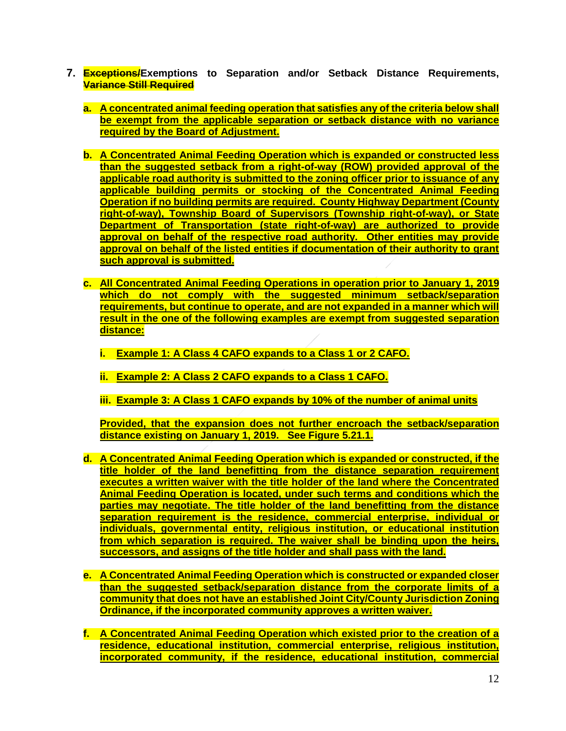- **7. Exceptions/Exemptions to Separation and/or Setback Distance Requirements, Variance Still Required**
	- **a. A concentrated animal feeding operation that satisfies any of the criteria below shall be exempt from the applicable separation or setback distance with no variance required by the Board of Adjustment.**
	- **b. A Concentrated Animal Feeding Operation which is expanded or constructed less than the suggested setback from a right-of-way (ROW) provided approval of the applicable road authority is submitted to the zoning officer prior to issuance of any applicable building permits or stocking of the Concentrated Animal Feeding Operation if no building permits are required. County Highway Department (County right-of-way), Township Board of Supervisors (Township right-of-way), or State Department of Transportation (state right-of-way) are authorized to provide approval on behalf of the respective road authority. Other entities may provide approval on behalf of the listed entities if documentation of their authority to grant such approval is submitted.**
	- **c. All Concentrated Animal Feeding Operations in operation prior to January 1, 2019 which do not comply with the suggested minimum setback/separation requirements, but continue to operate, and are not expanded in a manner which will result in the one of the following examples are exempt from suggested separation distance:**
		- **i. Example 1: A Class 4 CAFO expands to a Class 1 or 2 CAFO.**
		- **ii. Example 2: A Class 2 CAFO expands to a Class 1 CAFO.**
		- **iii. Example 3: A Class 1 CAFO expands by 10% of the number of animal units**

**Provided, that the expansion does not further encroach the setback/separation distance existing on January 1, 2019. See Figure 5.21.1.**

- **d. A Concentrated Animal Feeding Operation which is expanded or constructed, if the title holder of the land benefitting from the distance separation requirement executes a written waiver with the title holder of the land where the Concentrated Animal Feeding Operation is located, under such terms and conditions which the parties may negotiate. The title holder of the land benefitting from the distance separation requirement is the residence, commercial enterprise, individual or individuals, governmental entity, religious institution, or educational institution from which separation is required. The waiver shall be binding upon the heirs, successors, and assigns of the title holder and shall pass with the land.**
- **e. A Concentrated Animal Feeding Operation which is constructed or expanded closer than the suggested setback/separation distance from the corporate limits of a community that does not have an established Joint City/County Jurisdiction Zoning Ordinance, if the incorporated community approves a written waiver.**
- **f. A Concentrated Animal Feeding Operation which existed prior to the creation of a residence, educational institution, commercial enterprise, religious institution, incorporated community, if the residence, educational institution, commercial**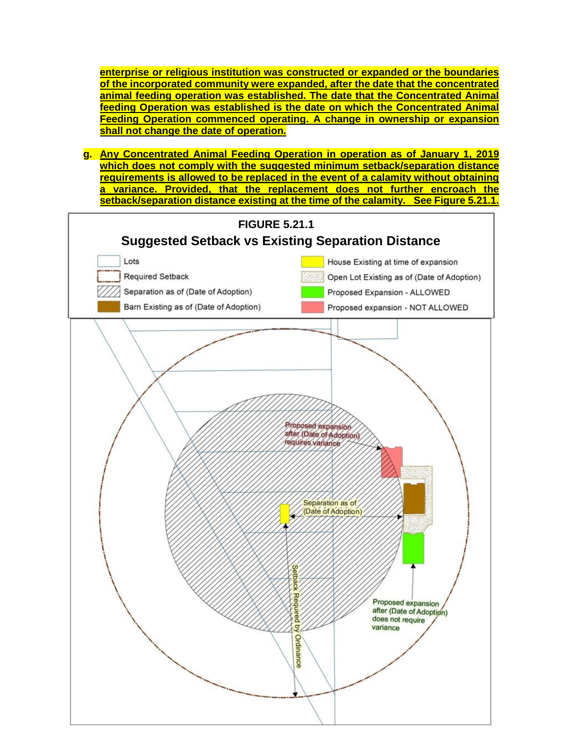**enterprise or religious institution was constructed or expanded or the boundaries of the incorporated community were expanded, after the date that the concentrated animal feeding operation was established. The date that the Concentrated Animal feeding Operation was established is the date on which the Concentrated Animal Feeding Operation commenced operating. A change in ownership or expansion shall not change the date of operation.** 

**g. Any Concentrated Animal Feeding Operation in operation as of January 1, 2019 which does not comply with the suggested minimum setback/separation distance requirements is allowed to be replaced in the event of a calamity without obtaining a variance. Provided, that the replacement does not further encroach the setback/separation distance existing at the time of the calamity. See Figure 5.21.1.**

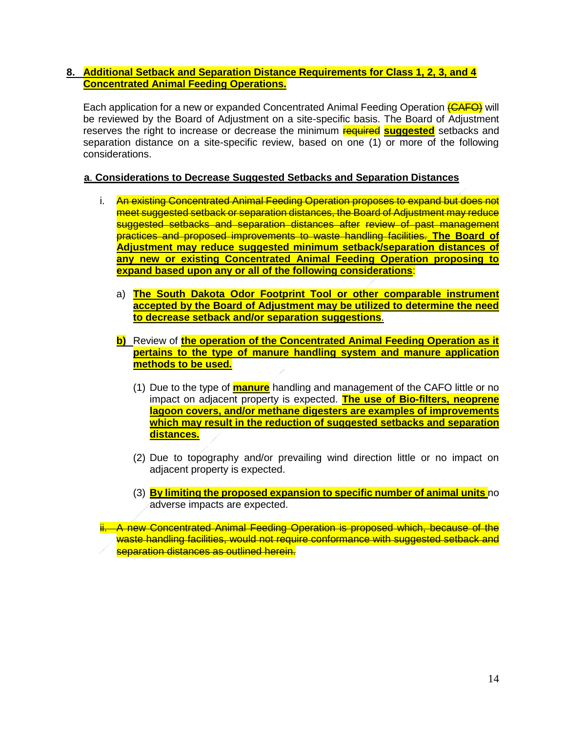## **8. Additional Setback and Separation Distance Requirements for Class 1, 2, 3, and 4 Concentrated Animal Feeding Operations.**

Each application for a new or expanded Concentrated Animal Feeding Operation (CAFO) will be reviewed by the Board of Adjustment on a site-specific basis. The Board of Adjustment reserves the right to increase or decrease the minimum required **suggested** setbacks and separation distance on a site-specific review, based on one (1) or more of the following considerations.

## **a**. **Considerations to Decrease Suggested Setbacks and Separation Distances**

- i. An existing Concentrated Animal Feeding Operation proposes to expand but does not meet suggested setback or separation distances, the Board of Adjustment may reduce suggested setbacks and separation distances after review of past management practices and proposed improvements to waste handling facilities. **The Board of Adjustment may reduce suggested minimum setback/separation distances of any new or existing Concentrated Animal Feeding Operation proposing to expand based upon any or all of the following considerations**:
	- a) **The South Dakota Odor Footprint Tool or other comparable instrument accepted by the Board of Adjustment may be utilized to determine the need to decrease setback and/or separation suggestions**.
	- **b)** Review of **the operation of the Concentrated Animal Feeding Operation as it pertains to the type of manure handling system and manure application methods to be used.**
		- (1) Due to the type of **manure** handling and management of the CAFO little or no impact on adjacent property is expected. **The use of Bio-filters, neoprene lagoon covers, and/or methane digesters are examples of improvements which may result in the reduction of suggested setbacks and separation distances.**
		- (2) Due to topography and/or prevailing wind direction little or no impact on adjacent property is expected.
		- (3) **By limiting the proposed expansion to specific number of animal units** no adverse impacts are expected.

ii. A new Concentrated Animal Feeding Operation is proposed which, because of the waste handling facilities, would not require conformance with suggested setback and separation distances as outlined herein.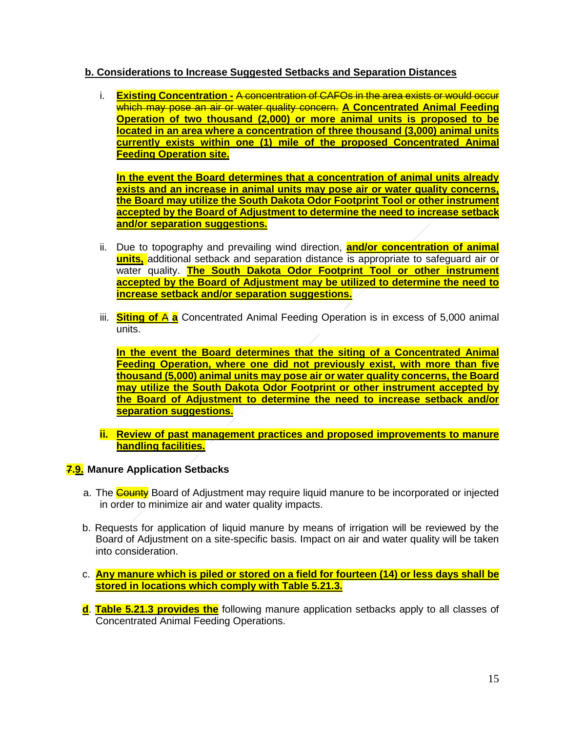## **b. Considerations to Increase Suggested Setbacks and Separation Distances**

i. **Existing Concentration -** A concentration of CAFOs in the area exists or would occur which may pose an air or water quality concern. **A Concentrated Animal Feeding Operation of two thousand (2,000) or more animal units is proposed to be located in an area where a concentration of three thousand (3,000) animal units currently exists within one (1) mile of the proposed Concentrated Animal Feeding Operation site.**

**In the event the Board determines that a concentration of animal units already exists and an increase in animal units may pose air or water quality concerns, the Board may utilize the South Dakota Odor Footprint Tool or other instrument accepted by the Board of Adjustment to determine the need to increase setback and/or separation suggestions.** 

- ii. Due to topography and prevailing wind direction, **and/or concentration of animal units,** additional setback and separation distance is appropriate to safeguard air or water quality. **The South Dakota Odor Footprint Tool or other instrument accepted by the Board of Adjustment may be utilized to determine the need to increase setback and/or separation suggestions.**
- iii. **Siting of** A **a** Concentrated Animal Feeding Operation is in excess of 5,000 animal units.

**In the event the Board determines that the siting of a Concentrated Animal Feeding Operation, where one did not previously exist, with more than five thousand (5,000) animal units may pose air or water quality concerns, the Board may utilize the South Dakota Odor Footprint or other instrument accepted by the Board of Adjustment to determine the need to increase setback and/or separation suggestions.** 

**ii. Review of past management practices and proposed improvements to manure handling facilities.**

# **7.9. Manure Application Setbacks**

- a. The County Board of Adjustment may require liquid manure to be incorporated or injected in order to minimize air and water quality impacts.
- b. Requests for application of liquid manure by means of irrigation will be reviewed by the Board of Adjustment on a site-specific basis. Impact on air and water quality will be taken into consideration.
- c. **Any manure which is piled or stored on a field for fourteen (14) or less days shall be stored in locations which comply with Table 5.21.3.**
- **d**. **Table 5.21.3 provides the** following manure application setbacks apply to all classes of Concentrated Animal Feeding Operations.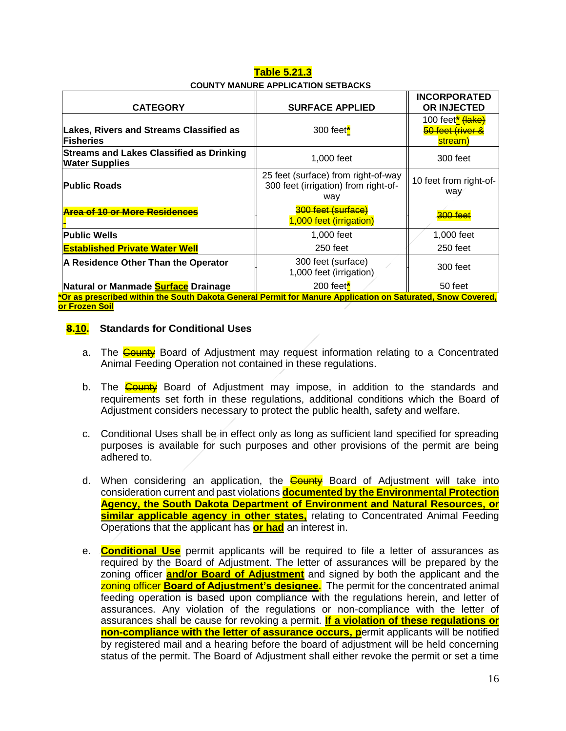| Table 5.21.3                              |  |  |  |  |  |
|-------------------------------------------|--|--|--|--|--|
| <b>COUNTY MANURE APPLICATION SETBACKS</b> |  |  |  |  |  |

|                                                                                                                              |                                                                                    | <b>INCORPORATED</b>                                         |
|------------------------------------------------------------------------------------------------------------------------------|------------------------------------------------------------------------------------|-------------------------------------------------------------|
| <b>CATEGORY</b>                                                                                                              | <b>SURFACE APPLIED</b>                                                             | OR INJECTED                                                 |
| <b>Lakes, Rivers and Streams Classified as</b><br><b>Fisheries</b>                                                           | 300 feet $*$                                                                       | 100 feet <sup>*</sup> (lake)<br>50 feet (river &<br>stream) |
| <b>Streams and Lakes Classified as Drinking</b><br><b>Water Supplies</b>                                                     | 1,000 feet                                                                         | 300 feet                                                    |
| <b>Public Roads</b>                                                                                                          | 25 feet (surface) from right-of-way<br>300 feet (irrigation) from right-of-<br>way | 10 feet from right-of-<br>way                               |
| <b>Area of 10 or More Residences</b>                                                                                         | 300 feet (surface)<br>4,000 feet (irrigation)                                      | $300$ foot                                                  |
| <b>Public Wells</b>                                                                                                          | 1,000 feet                                                                         | 1,000 feet                                                  |
| <b>Established Private Water Well</b>                                                                                        | 250 feet                                                                           | 250 feet                                                    |
| A Residence Other Than the Operator                                                                                          | 300 feet (surface)<br>1,000 feet (irrigation)                                      | 300 feet                                                    |
| Natural or Manmade <b>Surface</b> Drainage                                                                                   | 200 feet $*$                                                                       | 50 feet                                                     |
| *Or as prescribed within the South Dakota General Permit for Manure Application on Saturated, Snow Covered,<br>-- F----- A-U |                                                                                    |                                                             |

#### **or Frozen Soil**

#### **8.10. Standards for Conditional Uses**

- a. The County Board of Adjustment may request information relating to a Concentrated Animal Feeding Operation not contained in these regulations.
- b. The **County** Board of Adjustment may impose, in addition to the standards and requirements set forth in these regulations, additional conditions which the Board of Adjustment considers necessary to protect the public health, safety and welfare.
- c. Conditional Uses shall be in effect only as long as sufficient land specified for spreading purposes is available for such purposes and other provisions of the permit are being adhered to.
- d. When considering an application, the **County** Board of Adjustment will take into consideration current and past violations **documented by the Environmental Protection Agency, the South Dakota Department of Environment and Natural Resources, or similar applicable agency in other states,** relating to Concentrated Animal Feeding Operations that the applicant has **or had** an interest in.
- e. **Conditional Use** permit applicants will be required to file a letter of assurances as required by the Board of Adjustment. The letter of assurances will be prepared by the zoning officer **and/or Board of Adjustment** and signed by both the applicant and the zoning officer **Board of Adjustment's designee.** The permit for the concentrated animal feeding operation is based upon compliance with the regulations herein, and letter of assurances. Any violation of the regulations or non-compliance with the letter of assurances shall be cause for revoking a permit. **If a violation of these regulations or non-compliance with the letter of assurance occurs, permit applicants will be notified** by registered mail and a hearing before the board of adjustment will be held concerning status of the permit. The Board of Adjustment shall either revoke the permit or set a time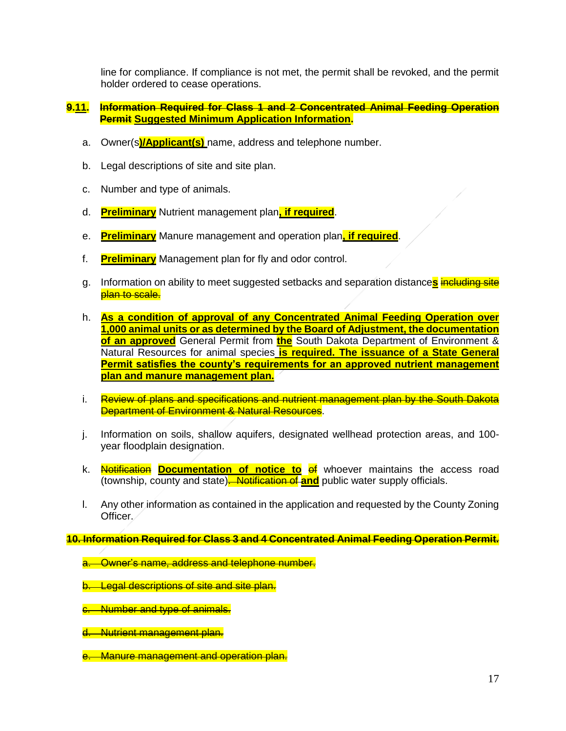line for compliance. If compliance is not met, the permit shall be revoked, and the permit holder ordered to cease operations.

#### **9.11. Information Required for Class 1 and 2 Concentrated Animal Feeding Operation Permit Suggested Minimum Application Information.**

- a. Owner(s**)/Applicant(s)** name, address and telephone number.
- b. Legal descriptions of site and site plan.
- c. Number and type of animals.
- d. **Preliminary** Nutrient management plan**, if required**.
- e. **Preliminary** Manure management and operation plan**, if required**.
- f. **Preliminary** Management plan for fly and odor control.
- g. Information on ability to meet suggested setbacks and separation distance**s** including site plan to scale.
- h. **As a condition of approval of any Concentrated Animal Feeding Operation over 1,000 animal units or as determined by the Board of Adjustment, the documentation of an approved** General Permit from **the** South Dakota Department of Environment & Natural Resources for animal species **is required. The issuance of a State General Permit satisfies the county's requirements for an approved nutrient management plan and manure management plan.**
- i. Review of plans and specifications and nutrient management plan by the South Dakota **Department of Environment & Natural Resources.**
- j. Information on soils, shallow aquifers, designated wellhead protection areas, and 100 year floodplain designation.
- k. **Notification Documentation of notice to of** whoever maintains the access road (township, county and state). Notification of **and** public water supply officials.
- l. Any other information as contained in the application and requested by the County Zoning Officer.

**10. Information Required for Class 3 and 4 Concentrated Animal Feeding Operation Permit.**

- **Owner's name, address and telephone number.**
- b. Legal descriptions of site and site plan.
- c. Number and type of animals.
- d. Nutrient management plan.
- e. Manure management and operation plan.